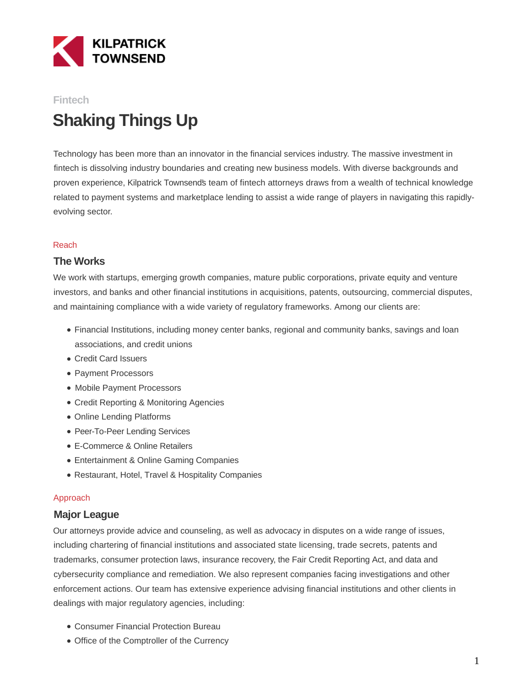

# **Fintech Shaking Things Up**

Technology has been more than an innovator in the financial services industry. The massive investment in fintech is dissolving industry boundaries and creating new business models. With diverse backgrounds and proven experience, Kilpatrick Townsend's team of fintech attorneys draws from a wealth of technical knowledge related to payment systems and marketplace lending to assist a wide range of players in navigating this rapidlyevolving sector.

#### Reach

### **The Works**

We work with startups, emerging growth companies, mature public corporations, private equity and venture investors, and banks and other financial institutions in acquisitions, patents, outsourcing, commercial disputes, and maintaining compliance with a wide variety of regulatory frameworks. Among our clients are:

- Financial Institutions, including money center banks, regional and community banks, savings and loan associations, and credit unions
- Credit Card Issuers
- Payment Processors
- Mobile Payment Processors
- Credit Reporting & Monitoring Agencies
- Online Lending Platforms
- Peer-To-Peer Lending Services
- E-Commerce & Online Retailers
- Entertainment & Online Gaming Companies
- Restaurant, Hotel, Travel & Hospitality Companies

#### Approach

#### **Major League**

Our attorneys provide advice and counseling, as well as advocacy in disputes on a wide range of issues, including chartering of financial institutions and associated state licensing, trade secrets, patents and trademarks, consumer protection laws, insurance recovery, the Fair Credit Reporting Act, and data and cybersecurity compliance and remediation. We also represent companies facing investigations and other enforcement actions. Our team has extensive experience advising financial institutions and other clients in dealings with major regulatory agencies, including:

- Consumer Financial Protection Bureau
- Office of the Comptroller of the Currency